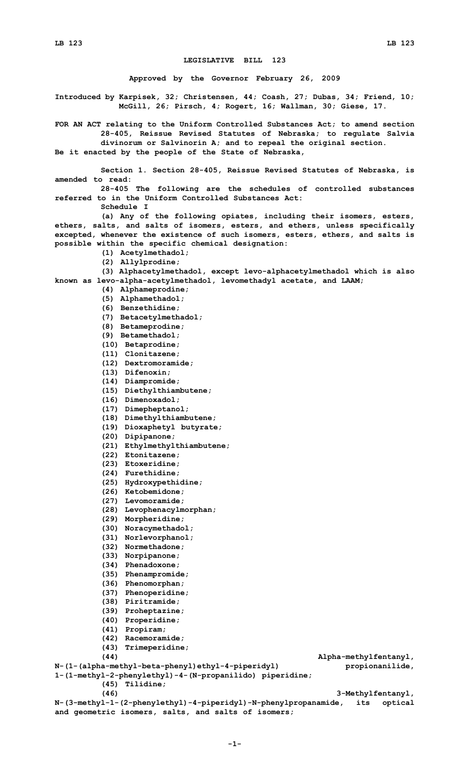## **LEGISLATIVE BILL 123**

**Approved by the Governor February 26, 2009**

**Introduced by Karpisek, 32; Christensen, 44; Coash, 27; Dubas, 34; Friend, 10; McGill, 26; Pirsch, 4; Rogert, 16; Wallman, 30; Giese, 17.**

**FOR AN ACT relating to the Uniform Controlled Substances Act; to amend section 28-405, Reissue Revised Statutes of Nebraska; to regulate Salvia divinorum or Salvinorin A; and to repeal the original section.**

**Be it enacted by the people of the State of Nebraska,**

**Section 1. Section 28-405, Reissue Revised Statutes of Nebraska, is amended to read:**

**28-405 The following are the schedules of controlled substances referred to in the Uniform Controlled Substances Act:**

**Schedule I**

**(a) Any of the following opiates, including their isomers, esters, ethers, salts, and salts of isomers, esters, and ethers, unless specifically excepted, whenever the existence of such isomers, esters, ethers, and salts is possible within the specific chemical designation:**

- **(1) Acetylmethadol;**
- **(2) Allylprodine;**

**(3) Alphacetylmethadol, except levo-alphacetylmethadol which is also known as levo-alpha-acetylmethadol, levomethadyl acetate, and LAAM;**

- **(4) Alphameprodine;**
- **(5) Alphamethadol;**
- **(6) Benzethidine;**
- **(7) Betacetylmethadol;**
- **(8) Betameprodine;**
- **(9) Betamethadol;**
- **(10) Betaprodine;**
- **(11) Clonitazene;**
- **(12) Dextromoramide;**
- **(13) Difenoxin;**
- **(14) Diampromide;**
- **(15) Diethylthiambutene;**
- **(16) Dimenoxadol;**
- **(17) Dimepheptanol;**
- **(18) Dimethylthiambutene;**
- **(19) Dioxaphetyl butyrate;**
- **(20) Dipipanone;**
- **(21) Ethylmethylthiambutene;**
- **(22) Etonitazene;**
- **(23) Etoxeridine;**
- **(24) Furethidine;**
- **(25) Hydroxypethidine;**
- **(26) Ketobemidone;**
- **(27) Levomoramide;**
- **(28) Levophenacylmorphan;**
- **(29) Morpheridine;**
- **(30) Noracymethadol;**
- **(31) Norlevorphanol;**
- **(32) Normethadone;**
- **(33) Norpipanone;**
- **(34) Phenadoxone;**
- **(35) Phenampromide;**
- **(36) Phenomorphan;**
- **(37) Phenoperidine;**
- **(38) Piritramide;**
- 
- **(39) Proheptazine;**
- **(40) Properidine;**
- **(41) Propiram;**
- **(42) Racemoramide;**
- **(43) Trimeperidine;**

**(44) Alpha-methylfentanyl, N-(1-(alpha-methyl-beta-phenyl)ethyl-4-piperidyl) propionanilide, 1-(1-methyl-2-phenylethyl)-4-(N-propanilido) piperidine; (45) Tilidine; (46) 3-Methylfentanyl,**

**N-(3-methyl-1-(2-phenylethyl)-4-piperidyl)-N-phenylpropanamide, its optical and geometric isomers, salts, and salts of isomers;**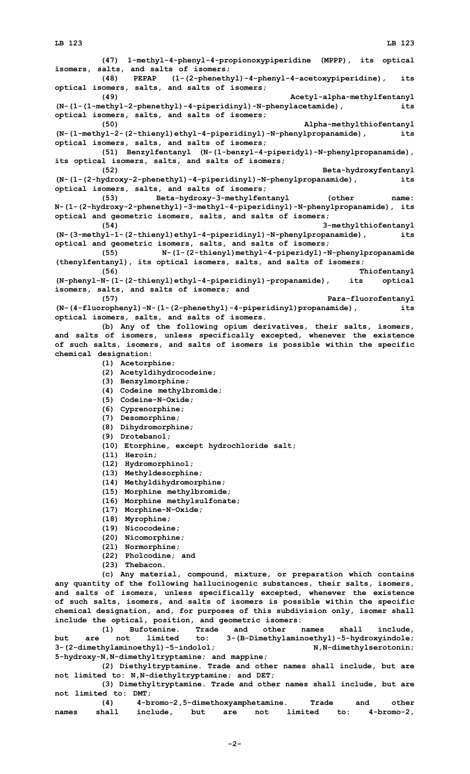**(47) 1-methyl-4-phenyl-4-propionoxypiperidine (MPPP), its optical isomers, salts, and salts of isomers; (48) PEPAP (1-(2-phenethyl)-4-phenyl-4-acetoxypiperidine), its optical isomers, salts, and salts of isomers; (49) Acetyl-alpha-methylfentanyl (N-(1-(1-methyl-2-phenethyl)-4-piperidinyl)-N-phenylacetamide), its optical isomers, salts, and salts of isomers; (50) Alpha-methylthiofentanyl (N-(1-methyl-2-(2-thienyl)ethyl-4-piperidinyl)-N-phenylpropanamide), its optical isomers, salts, and salts of isomers; (51) Benzylfentanyl (N-(1-benzyl-4-piperidyl)-N-phenylpropanamide), its optical isomers, salts, and salts of isomers; (52) Beta-hydroxyfentanyl (N-(1-(2-hydroxy-2-phenethyl)-4-piperidinyl)-N-phenylpropanamide), its optical isomers, salts, and salts of isomers; (53) Beta-hydroxy-3-methylfentanyl (other name: N-(1-(2-hydroxy-2-phenethyl)-3-methyl-4-piperidinyl)-N-phenylpropanamide), its optical and geometric isomers, salts, and salts of isomers; (54) 3-methylthiofentanyl (N-(3-methyl-1-(2-thienyl)ethyl-4-piperidinyl)-N-phenylpropanamide), its optical and geometric isomers, salts, and salts of isomers; (55) N-(1-(2-thienyl)methyl-4-piperidyl)-N-phenylpropanamide (thenylfentanyl), its optical isomers, salts, and salts of isomers; (56) Thiofentanyl (N-phenyl-N-(1-(2-thienyl)ethyl-4-piperidinyl)-propanamide), its optical isomers, salts, and salts of isomers; and (57) Para-fluorofentanyl (N-(4-fluorophenyl)-N-(1-(2-phenethyl)-4-piperidinyl)propanamide), its optical isomers, salts, and salts of isomers. (b) Any of the following opium derivatives, their salts, isomers, and salts of isomers, unless specifically excepted, whenever the existence of such salts, isomers, and salts of isomers is possible within the specific chemical designation: (1) Acetorphine; (2) Acetyldihydrocodeine; (3) Benzylmorphine; (4) Codeine methylbromide; (5) Codeine-N-Oxide; (6) Cyprenorphine; (7) Desomorphine; (8) Dihydromorphine; (9) Drotebanol; (10) Etorphine, except hydrochloride salt; (11) Heroin; (12) Hydromorphinol; (13) Methyldesorphine; (14) Methyldihydromorphine; (15) Morphine methylbromide; (16) Morphine methylsulfonate; (17) Morphine-N-Oxide; (18) Myrophine; (19) Nicocodeine; (20) Nicomorphine; (21) Normorphine; (22) Pholcodine; and (23) Thebacon. (c) Any material, compound, mixture, or preparation which contains any quantity of the following hallucinogenic substances, their salts, isomers, and salts of isomers, unless specifically excepted, whenever the existence of such salts, isomers, and salts of isomers is possible within the specific chemical designation, and, for purposes of this subdivision only, isomer shall include the optical, position, and geometric isomers: (1) Bufotenine. Trade and other names shall include, but are not limited to: 3-(B-Dimethylaminoethyl)-5-hydroxyindole; 3-(2-dimethylaminoethyl)-5-indolol; N,N-dimethylserotonin; 5-hydroxy-N,N-dimethyltryptamine; and mappine;**

**(2) Diethyltryptamine. Trade and other names shall include, but are not limited to: N,N-diethyltryptamine; and DET;**

**(3) Dimethyltryptamine. Trade and other names shall include, but are not limited to: DMT;**

**(4) 4-bromo-2,5-dimethoxyamphetamine. Trade and other names shall include, but are not limited to: 4-bromo-2,**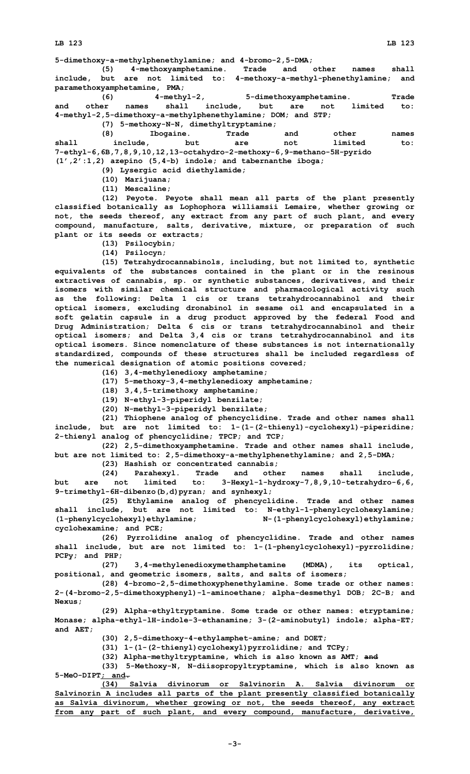**5-dimethoxy-a-methylphenethylamine; and 4-bromo-2,5-DMA;**

**(5) 4-methoxyamphetamine. Trade and other names shall include, but are not limited to: 4-methoxy-a-methyl-phenethylamine; and paramethoxyamphetamine, PMA;**

**(6) 4-methyl-2, 5-dimethoxyamphetamine. Trade and other names shall include, but are not limited to: 4-methyl-2,5-dimethoxy-a-methylphenethylamine; DOM; and STP;**

**(7) 5-methoxy-N-N, dimethyltryptamine; (8) Ibogaine. Trade and other names shall include, but are not limited to: 7-ethyl-6,6B,7,8,9,10,12,13-octahydro-2-methoxy-6,9-methano-5H-pyrido (1',2':1,2) azepino (5,4-b) indole; and tabernanthe iboga;**

**(9) Lysergic acid diethylamide;**

**(10) Marijuana;**

**(11) Mescaline;**

**(12) Peyote. Peyote shall mean all parts of the plant presently classified botanically as Lophophora williamsii Lemaire, whether growing or not, the seeds thereof, any extract from any part of such plant, and every compound, manufacture, salts, derivative, mixture, or preparation of such plant or its seeds or extracts;**

**(13) Psilocybin;**

**(14) Psilocyn;**

**(15) Tetrahydrocannabinols, including, but not limited to, synthetic equivalents of the substances contained in the plant or in the resinous extractives of cannabis, sp. or synthetic substances, derivatives, and their isomers with similar chemical structure and pharmacological activity such as the following: Delta 1 cis or trans tetrahydrocannabinol and their optical isomers, excluding dronabinol in sesame oil and encapsulated in <sup>a</sup> soft gelatin capsule in <sup>a</sup> drug product approved by the federal Food and Drug Administration; Delta 6 cis or trans tetrahydrocannabinol and their optical isomers; and Delta 3,4 cis or trans tetrahydrocannabinol and its optical isomers. Since nomenclature of these substances is not internationally standardized, compounds of these structures shall be included regardless of the numerical designation of atomic positions covered;**

**(16) 3,4-methylenedioxy amphetamine;**

**(17) 5-methoxy-3,4-methylenedioxy amphetamine;**

**(18) 3,4,5-trimethoxy amphetamine;**

**(19) N-ethyl-3-piperidyl benzilate;**

**(20) N-methyl-3-piperidyl benzilate;**

**(21) Thiophene analog of phencyclidine. Trade and other names shall include, but are not limited to: 1-(1-(2-thienyl)-cyclohexyl)-piperidine; 2-thienyl analog of phencyclidine; TPCP; and TCP;**

**(22) 2,5-dimethoxyamphetamine. Trade and other names shall include, but are not limited to: 2,5-dimethoxy-a-methylphenethylamine; and 2,5-DMA;**

**(23) Hashish or concentrated cannabis;**

**(24) Parahexyl. Trade and other names shall include, but are not limited to: 3-Hexyl-1-hydroxy-7,8,9,10-tetrahydro-6,6, 9-trimethyl-6H-dibenzo(b,d)pyran; and synhexyl;**

**(25) Ethylamine analog of phencyclidine. Trade and other names shall include, but are not limited to: N-ethyl-1-phenylcyclohexylamine; (1-phenylcyclohexyl)ethylamine; N-(1-phenylcyclohexyl)ethylamine; cyclohexamine; and PCE;**

**(26) Pyrrolidine analog of phencyclidine. Trade and other names shall include, but are not limited to: 1-(1-phenylcyclohexyl)-pyrrolidine; PCPy; and PHP;**

**(27) 3,4-methylenedioxymethamphetamine (MDMA), its optical, positional, and geometric isomers, salts, and salts of isomers;**

**(28) 4-bromo-2,5-dimethoxyphenethylamine. Some trade or other names: 2-(4-bromo-2,5-dimethoxyphenyl)-1-aminoethane; alpha-desmethyl DOB; 2C-B; and Nexus;**

**(29) Alpha-ethyltryptamine. Some trade or other names: etryptamine; Monase; alpha-ethyl-lH-indole-3-ethanamine; 3-(2-aminobutyl) indole; alpha-ET; and AET;**

**(30) 2,5-dimethoxy-4-ethylamphet-amine; and DOET;**

**(31) 1-(1-(2-thienyl)cyclohexyl)pyrrolidine; and TCPy;**

**(32) Alpha-methyltryptamine, which is also known as AMT; and**

**(33) 5-Methoxy-N, N-diisopropyltryptamine, which is also known as 5-MeO-DIPT; and.**

**(34) Salvia divinorum or Salvinorin A. Salvia divinorum or Salvinorin A includes all parts of the plant presently classified botanically as Salvia divinorum, whether growing or not, the seeds thereof, any extract from any part of such plant, and every compound, manufacture, derivative,**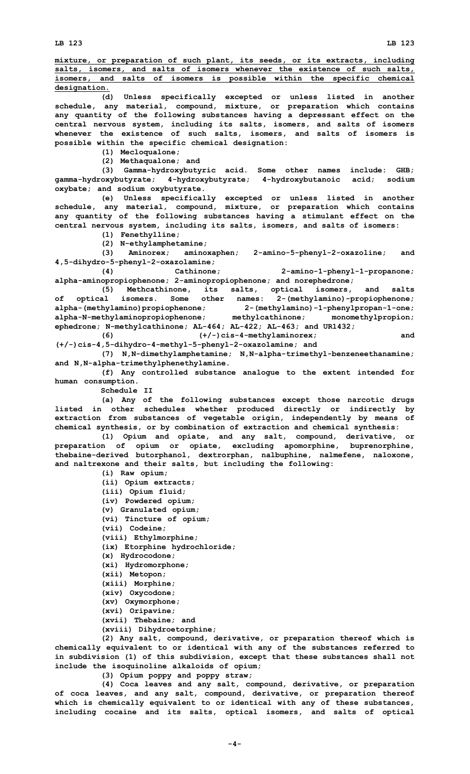**mixture, or preparation of such plant, its seeds, or its extracts, including salts, isomers, and salts of isomers whenever the existence of such salts, isomers, and salts of isomers is possible within the specific chemical designation.**

**(d) Unless specifically excepted or unless listed in another schedule, any material, compound, mixture, or preparation which contains any quantity of the following substances having <sup>a</sup> depressant effect on the central nervous system, including its salts, isomers, and salts of isomers whenever the existence of such salts, isomers, and salts of isomers is possible within the specific chemical designation:**

**(1) Mecloqualone;**

**(2) Methaqualone; and**

**(3) Gamma-hydroxybutyric acid. Some other names include: GHB; gamma-hydroxybutyrate; 4-hydroxybutyrate; 4-hydroxybutanoic acid; sodium oxybate; and sodium oxybutyrate.**

**(e) Unless specifically excepted or unless listed in another schedule, any material, compound, mixture, or preparation which contains any quantity of the following substances having <sup>a</sup> stimulant effect on the central nervous system, including its salts, isomers, and salts of isomers:**

**(1) Fenethylline;**

**(2) N-ethylamphetamine;**

**(3) Aminorex; aminoxaphen; 2-amino-5-phenyl-2-oxazoline; and 4,5-dihydro-5-phenyl-2-oxazolamine;**

**(4) Cathinone; 2-amino-1-phenyl-1-propanone; alpha-aminopropiophenone; 2-aminopropiophenone; and norephedrone;**

**(5) Methcathinone, its salts, optical isomers, and salts of optical isomers. Some other names: 2-(methylamino)-propiophenone; alpha-(methylamino)propiophenone; 2-(methylamino)-1-phenylpropan-1-one; alpha-N-methylaminopropiophenone; methylcathinone; monomethylpropion; ephedrone; N-methylcathinone; AL-464; AL-422; AL-463; and UR1432; (6) (+/-)cis-4-methylaminorex; and**

**(+/-)cis-4,5-dihydro-4-methyl-5-phenyl-2-oxazolamine; and**

**(7) N,N-dimethylamphetamine; N,N-alpha-trimethyl-benzeneethanamine; and N,N-alpha-trimethylphenethylamine.**

**(f) Any controlled substance analogue to the extent intended for human consumption.**

**Schedule II**

**(a) Any of the following substances except those narcotic drugs listed in other schedules whether produced directly or indirectly by extraction from substances of vegetable origin, independently by means of chemical synthesis, or by combination of extraction and chemical synthesis:**

**(1) Opium and opiate, and any salt, compound, derivative, or preparation of opium or opiate, excluding apomorphine, buprenorphine, thebaine-derived butorphanol, dextrorphan, nalbuphine, nalmefene, naloxone, and naltrexone and their salts, but including the following:**

**(i) Raw opium; (ii) Opium extracts; (iii) Opium fluid; (iv) Powdered opium; (v) Granulated opium; (vi) Tincture of opium; (vii) Codeine; (viii) Ethylmorphine; (ix) Etorphine hydrochloride; (x) Hydrocodone; (xi) Hydromorphone; (xii) Metopon; (xiii) Morphine; (xiv) Oxycodone; (xv) Oxymorphone; (xvi) Oripavine; (xvii) Thebaine; and (xviii) Dihydroetorphine;**

**(2) Any salt, compound, derivative, or preparation thereof which is chemically equivalent to or identical with any of the substances referred to in subdivision (1) of this subdivision, except that these substances shall not include the isoquinoline alkaloids of opium;**

**(3) Opium poppy and poppy straw;**

**(4) Coca leaves and any salt, compound, derivative, or preparation of coca leaves, and any salt, compound, derivative, or preparation thereof which is chemically equivalent to or identical with any of these substances, including cocaine and its salts, optical isomers, and salts of optical**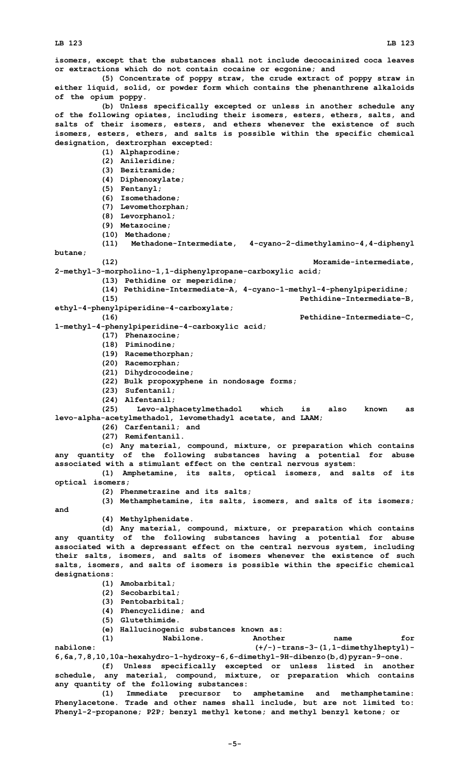**isomers, except that the substances shall not include decocainized coca leaves or extractions which do not contain cocaine or ecgonine; and**

**(5) Concentrate of poppy straw, the crude extract of poppy straw in either liquid, solid, or powder form which contains the phenanthrene alkaloids of the opium poppy.**

**(b) Unless specifically excepted or unless in another schedule any of the following opiates, including their isomers, esters, ethers, salts, and salts of their isomers, esters, and ethers whenever the existence of such isomers, esters, ethers, and salts is possible within the specific chemical designation, dextrorphan excepted:**

**(1) Alphaprodine;**

**(2) Anileridine;**

**(3) Bezitramide;**

**(4) Diphenoxylate;**

- **(5) Fentanyl;**
- **(6) Isomethadone;**

- **(7) Levomethorphan;**
- **(8) Levorphanol; (9) Metazocine;**
- 
- **(10) Methadone;**

**(11) Methadone-Intermediate, 4-cyano-2-dimethylamino-4,4-diphenyl butane;**

**(12) Moramide-intermediate,**

**2-methyl-3-morpholino-1,1-diphenylpropane-carboxylic acid; (13) Pethidine or meperidine;**

**(14) Pethidine-Intermediate-A, 4-cyano-1-methyl-4-phenylpiperidine;**

**(15) Pethidine-Intermediate-B,**

**ethyl-4-phenylpiperidine-4-carboxylate;**

**(16) Pethidine-Intermediate-C, 1-methyl-4-phenylpiperidine-4-carboxylic acid;**

- **(17) Phenazocine;**
- **(18) Piminodine;**
- **(19) Racemethorphan;**
- **(20) Racemorphan;**
- **(21) Dihydrocodeine;**
- **(22) Bulk propoxyphene in nondosage forms;**
- **(23) Sufentanil;**
- 

**(24) Alfentanil; (25) Levo-alphacetylmethadol which is also known as levo-alpha-acetylmethadol, levomethadyl acetate, and LAAM;**

**(26) Carfentanil; and**

**(27) Remifentanil.**

**(c) Any material, compound, mixture, or preparation which contains any quantity of the following substances having <sup>a</sup> potential for abuse associated with <sup>a</sup> stimulant effect on the central nervous system:**

**(1) Amphetamine, its salts, optical isomers, and salts of its optical isomers;**

**(2) Phenmetrazine and its salts;**

**(3) Methamphetamine, its salts, isomers, and salts of its isomers; and**

**(4) Methylphenidate.**

**(d) Any material, compound, mixture, or preparation which contains any quantity of the following substances having <sup>a</sup> potential for abuse associated with <sup>a</sup> depressant effect on the central nervous system, including their salts, isomers, and salts of isomers whenever the existence of such salts, isomers, and salts of isomers is possible within the specific chemical designations:**

- **(1) Amobarbital;**
- **(2) Secobarbital;**
- **(3) Pentobarbital;**
- **(4) Phencyclidine; and**
- **(5) Glutethimide.**
- **(e) Hallucinogenic substances known as:**

**(1) Nabilone. Another name for nabilone: (+/-)-trans-3-(1,1-dimethylheptyl)-**

**6,6a,7,8,10,10a-hexahydro-1-hydroxy-6,6-dimethyl-9H-dibenzo(b,d)pyran-9-one. (f) Unless specifically excepted or unless listed in another schedule, any material, compound, mixture, or preparation which contains any quantity of the following substances:**

**(1) Immediate precursor to amphetamine and methamphetamine: Phenylacetone. Trade and other names shall include, but are not limited to: Phenyl-2-propanone; P2P; benzyl methyl ketone; and methyl benzyl ketone; or**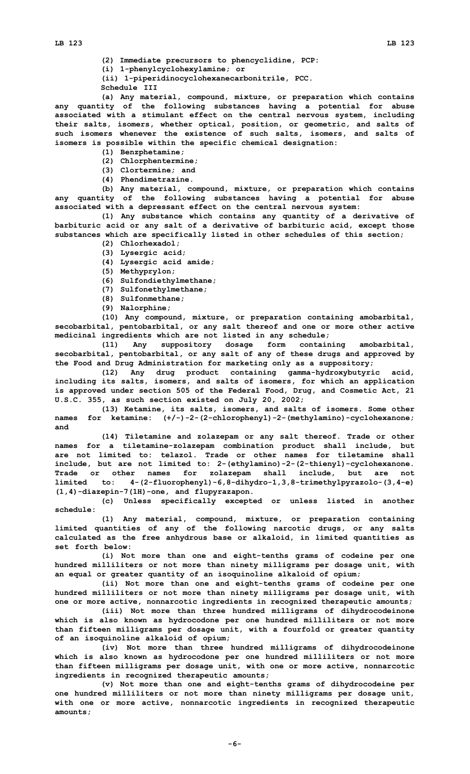**(2) Immediate precursors to phencyclidine, PCP:**

**(i) 1-phenylcyclohexylamine; or**

**(ii) 1-piperidinocyclohexanecarbonitrile, PCC.**

**Schedule III**

**(a) Any material, compound, mixture, or preparation which contains any quantity of the following substances having <sup>a</sup> potential for abuse associated with <sup>a</sup> stimulant effect on the central nervous system, including their salts, isomers, whether optical, position, or geometric, and salts of such isomers whenever the existence of such salts, isomers, and salts of isomers is possible within the specific chemical designation:**

- **(1) Benzphetamine;**
- **(2) Chlorphentermine;**
- **(3) Clortermine; and**
- **(4) Phendimetrazine.**

**(b) Any material, compound, mixture, or preparation which contains any quantity of the following substances having <sup>a</sup> potential for abuse associated with <sup>a</sup> depressant effect on the central nervous system:**

**(1) Any substance which contains any quantity of <sup>a</sup> derivative of barbituric acid or any salt of <sup>a</sup> derivative of barbituric acid, except those substances which are specifically listed in other schedules of this section;**

- **(2) Chlorhexadol;**
- **(3) Lysergic acid;**
- **(4) Lysergic acid amide;**
- **(5) Methyprylon;**
- **(6) Sulfondiethylmethane;**
- **(7) Sulfonethylmethane;**
- **(8) Sulfonmethane;**
- **(9) Nalorphine;**

**(10) Any compound, mixture, or preparation containing amobarbital, secobarbital, pentobarbital, or any salt thereof and one or more other active medicinal ingredients which are not listed in any schedule;**

**(11) Any suppository dosage form containing amobarbital, secobarbital, pentobarbital, or any salt of any of these drugs and approved by the Food and Drug Administration for marketing only as <sup>a</sup> suppository;**

**(12) Any drug product containing gamma-hydroxybutyric acid, including its salts, isomers, and salts of isomers, for which an application is approved under section 505 of the Federal Food, Drug, and Cosmetic Act, 21 U.S.C. 355, as such section existed on July 20, 2002;**

**(13) Ketamine, its salts, isomers, and salts of isomers. Some other names for ketamine: (+/-)-2-(2-chlorophenyl)-2-(methylamino)-cyclohexanone; and**

**(14) Tiletamine and zolazepam or any salt thereof. Trade or other names for <sup>a</sup> tiletamine-zolazepam combination product shall include, but are not limited to: telazol. Trade or other names for tiletamine shall include, but are not limited to: 2-(ethylamino)-2-(2-thienyl)-cyclohexanone. Trade or other names for zolazepam shall include, but are not limited to: 4-(2-fluorophenyl)-6,8-dihydro-1,3,8-trimethylpyrazolo-(3,4-e) (1,4)-diazepin-7(1H)-one, and flupyrazapon.**

**(c) Unless specifically excepted or unless listed in another schedule:**

**(1) Any material, compound, mixture, or preparation containing limited quantities of any of the following narcotic drugs, or any salts calculated as the free anhydrous base or alkaloid, in limited quantities as set forth below:**

**(i) Not more than one and eight-tenths grams of codeine per one hundred milliliters or not more than ninety milligrams per dosage unit, with an equal or greater quantity of an isoquinoline alkaloid of opium;**

**(ii) Not more than one and eight-tenths grams of codeine per one hundred milliliters or not more than ninety milligrams per dosage unit, with one or more active, nonnarcotic ingredients in recognized therapeutic amounts;**

**(iii) Not more than three hundred milligrams of dihydrocodeinone which is also known as hydrocodone per one hundred milliliters or not more than fifteen milligrams per dosage unit, with <sup>a</sup> fourfold or greater quantity of an isoquinoline alkaloid of opium;**

**(iv) Not more than three hundred milligrams of dihydrocodeinone which is also known as hydrocodone per one hundred milliliters or not more than fifteen milligrams per dosage unit, with one or more active, nonnarcotic ingredients in recognized therapeutic amounts;**

**(v) Not more than one and eight-tenths grams of dihydrocodeine per one hundred milliliters or not more than ninety milligrams per dosage unit, with one or more active, nonnarcotic ingredients in recognized therapeutic amounts;**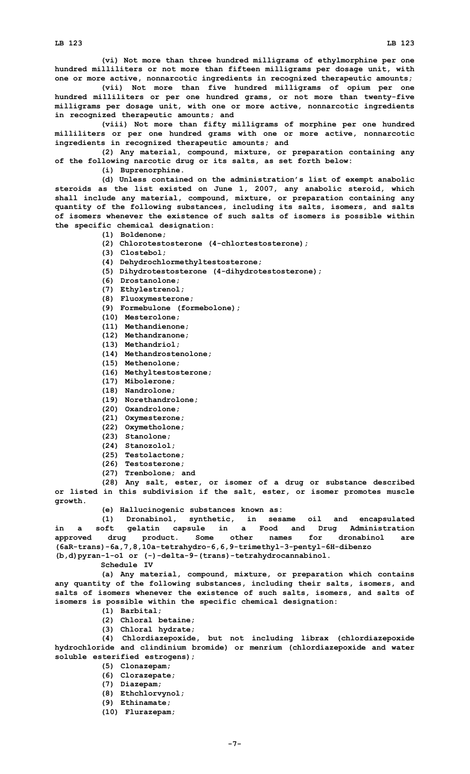**(vi) Not more than three hundred milligrams of ethylmorphine per one hundred milliliters or not more than fifteen milligrams per dosage unit, with one or more active, nonnarcotic ingredients in recognized therapeutic amounts;**

**(vii) Not more than five hundred milligrams of opium per one hundred milliliters or per one hundred grams, or not more than twenty-five milligrams per dosage unit, with one or more active, nonnarcotic ingredients in recognized therapeutic amounts; and**

**(viii) Not more than fifty milligrams of morphine per one hundred milliliters or per one hundred grams with one or more active, nonnarcotic ingredients in recognized therapeutic amounts; and**

**(2) Any material, compound, mixture, or preparation containing any of the following narcotic drug or its salts, as set forth below:**

**(i) Buprenorphine.**

**(d) Unless contained on the administration's list of exempt anabolic steroids as the list existed on June 1, 2007, any anabolic steroid, which shall include any material, compound, mixture, or preparation containing any quantity of the following substances, including its salts, isomers, and salts of isomers whenever the existence of such salts of isomers is possible within the specific chemical designation:**

- **(1) Boldenone;**
- **(2) Chlorotestosterone (4-chlortestosterone);**
- **(3) Clostebol;**
- **(4) Dehydrochlormethyltestosterone;**
- **(5) Dihydrotestosterone (4-dihydrotestosterone);**
- **(6) Drostanolone;**
- **(7) Ethylestrenol;**
- **(8) Fluoxymesterone;**
- **(9) Formebulone (formebolone);**
- **(10) Mesterolone;**
- **(11) Methandienone;**
- **(12) Methandranone;**
- **(13) Methandriol;**
- **(14) Methandrostenolone;**
- **(15) Methenolone;**
- **(16) Methyltestosterone;**
- **(17) Mibolerone;**
- **(18) Nandrolone;**
- **(19) Norethandrolone;**
- **(20) Oxandrolone;**
- **(21) Oxymesterone;**
- **(22) Oxymetholone;**
- **(23) Stanolone;**
- **(24) Stanozolol;**
- **(25) Testolactone;**
- **(26) Testosterone;**
- **(27) Trenbolone; and**

**(28) Any salt, ester, or isomer of <sup>a</sup> drug or substance described or listed in this subdivision if the salt, ester, or isomer promotes muscle growth.**

**(e) Hallucinogenic substances known as:**

**(1) Dronabinol, synthetic, in sesame oil and encapsulated in <sup>a</sup> soft gelatin capsule in <sup>a</sup> Food and Drug Administration approved drug product. Some other names for dronabinol are (6aR-trans)-6a,7,8,10a-tetrahydro-6,6,9-trimethyl-3-pentyl-6H-dibenzo (b,d)pyran-1-o1 or (-)-delta-9-(trans)-tetrahydrocannabinol.**

**Schedule IV**

**(a) Any material, compound, mixture, or preparation which contains any quantity of the following substances, including their salts, isomers, and salts of isomers whenever the existence of such salts, isomers, and salts of isomers is possible within the specific chemical designation:**

- **(1) Barbital;**
- **(2) Chloral betaine;**
- **(3) Chloral hydrate;**

**(4) Chlordiazepoxide, but not including librax (chlordiazepoxide hydrochloride and clindinium bromide) or menrium (chlordiazepoxide and water soluble esterified estrogens);**

- **(5) Clonazepam;**
- **(6) Clorazepate;**
- **(7) Diazepam;**
- **(8) Ethchlorvynol;**
- **(9) Ethinamate;**
- **(10) Flurazepam;**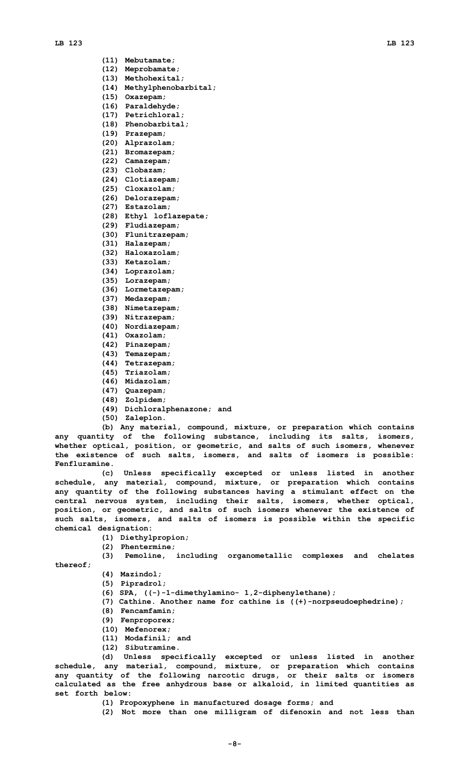- **(11) Mebutamate;**
- **(12) Meprobamate;**
- **(13) Methohexital;**
- **(14) Methylphenobarbital;**
- **(15) Oxazepam;**
- **(16) Paraldehyde;**
- **(17) Petrichloral;**
- **(18) Phenobarbital;**
- **(19) Prazepam;**
- **(20) Alprazolam;**
- **(21) Bromazepam;**
- **(22) Camazepam;**
- **(23) Clobazam;**
- **(24) Clotiazepam;**
- **(25) Cloxazolam;**
- **(26) Delorazepam;**
- **(27) Estazolam;**
- **(28) Ethyl loflazepate;**
- **(29) Fludiazepam;**
- **(30) Flunitrazepam;**
- **(31) Halazepam;**
- **(32) Haloxazolam;**
- **(33) Ketazolam;**
- **(34) Loprazolam;**
- **(35) Lorazepam;**
- **(36) Lormetazepam;**
- **(37) Medazepam;**
- **(38) Nimetazepam;**
- **(39) Nitrazepam;**
- **(40) Nordiazepam;**
- **(41) Oxazolam;**
- **(42) Pinazepam;**
- **(43) Temazepam;**
- **(44) Tetrazepam;**
- **(45) Triazolam;**
- **(46) Midazolam;**
- **(47) Quazepam;**
- **(48) Zolpidem;**
- **(49) Dichloralphenazone; and**
- **(50) Zaleplon.**

**(b) Any material, compound, mixture, or preparation which contains any quantity of the following substance, including its salts, isomers, whether optical, position, or geometric, and salts of such isomers, whenever the existence of such salts, isomers, and salts of isomers is possible: Fenfluramine.**

**(c) Unless specifically excepted or unless listed in another schedule, any material, compound, mixture, or preparation which contains any quantity of the following substances having <sup>a</sup> stimulant effect on the central nervous system, including their salts, isomers, whether optical, position, or geometric, and salts of such isomers whenever the existence of such salts, isomers, and salts of isomers is possible within the specific chemical designation:**

- **(1) Diethylpropion;**
- **(2) Phentermine;**
- **(3) Pemoline, including organometallic complexes and chelates**

**thereof;**

- **(4) Mazindol;**
- **(5) Pipradrol;**
- **(6) SPA, ((-)-1-dimethylamino- 1,2-diphenylethane);**
- **(7) Cathine. Another name for cathine is ((+)-norpseudoephedrine);**
- **(8) Fencamfamin;**
- **(9) Fenproporex;**
- **(10) Mefenorex;**
- **(11) Modafinil; and**
- **(12) Sibutramine.**

**(d) Unless specifically excepted or unless listed in another schedule, any material, compound, mixture, or preparation which contains any quantity of the following narcotic drugs, or their salts or isomers calculated as the free anhydrous base or alkaloid, in limited quantities as set forth below:**

- **(1) Propoxyphene in manufactured dosage forms; and**
- **(2) Not more than one milligram of difenoxin and not less than**